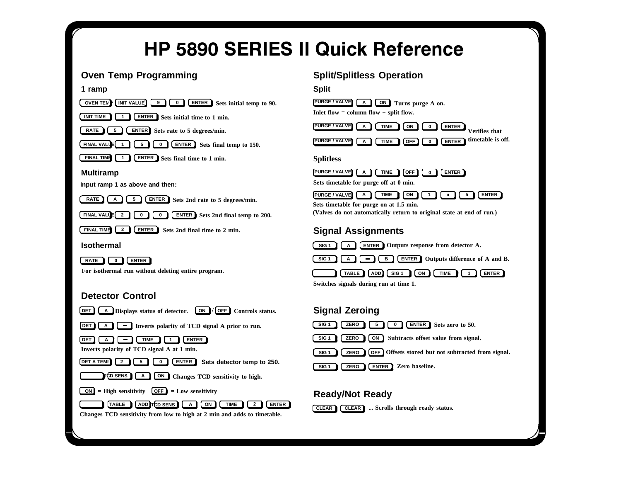# **HP 5890 SERIES II Quick Reference**

# **Oven Temp Programming**





**For isothermal run without deleting entire program.**

#### **Detector Control**



#### **Split/Splitless Operation**





#### **Ready/Not Ready**

**ZERO**

**SIG 1**



**ENTER Zero baseline.**

Changes TCD sensitivity from low to high at 2 min and adds to timetable.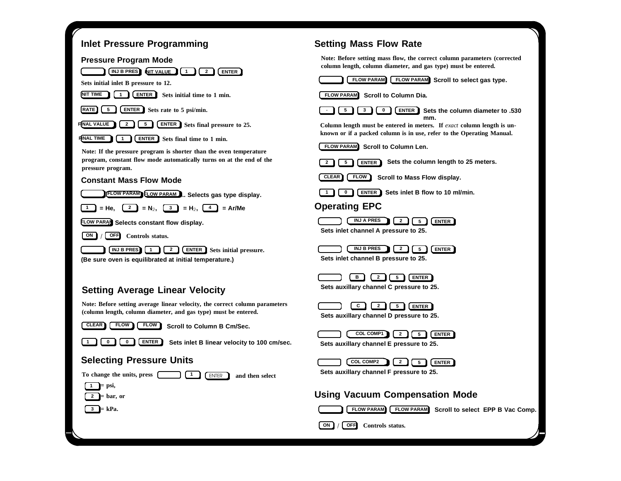#### **Inlet Pressure Programming**

#### **Pressure Program Mode**



program, constant flow mode automatically turns on at the end of the **pressure program.**

#### **Constant Mass Flow Mode**



**(Be sure oven is equilibrated at initial temperature.)**

# **Setting Average Linear Velocity**

**Note: Before setting average linear velocity, the correct column parameters (column length, column diameter, and gas type) must be entered.**



**Scroll to Column B Cm/Sec. FLOW**

**1**



**Sets inlet B linear velocity to 100 cm/sec.**

#### **Selecting Pressure Units**



**To change the units, press** ENTER **and then select**

**= psi, 1**

**= bar, or 2= kPa. 3**

# **Setting Mass Flow Rate**

**Note: Before setting mass flow, the correct column parameters (corrected column length, column diameter, and gas type) must be entered.**

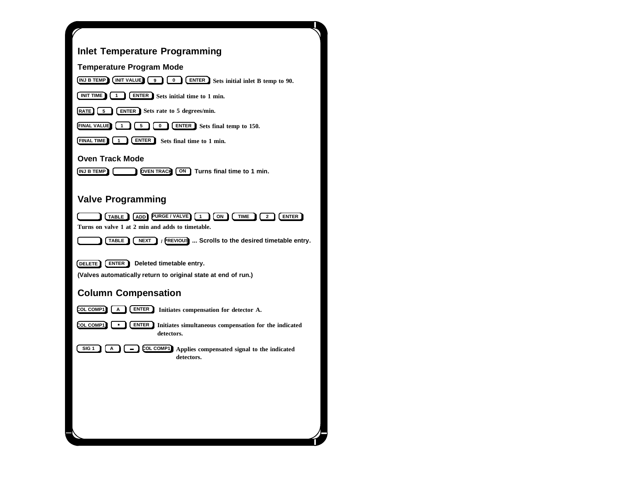| <b>Inlet Temperature Programming</b>                                                                                                                |
|-----------------------------------------------------------------------------------------------------------------------------------------------------|
| <b>Temperature Program Mode</b>                                                                                                                     |
| INJ B TEMP (INIT VALUE)<br><b>6</b> ENTER Sets initial inlet B temp to 90.<br>9                                                                     |
| INIT TIME 1<br><b>ENTER</b> Sets initial time to 1 min.<br>$\mathbf{1}$                                                                             |
| <b>ENTER</b> Sets rate to 5 degrees/min.<br>[RATE] [ 5                                                                                              |
| <b>FINAL VALUE</b> (1<br>J (5<br><b>ENTER</b> Sets final temp to 150.<br>$\pmb{0}$                                                                  |
| <b>ENTER</b> Sets final time to 1 min.<br><b>FINAL TIME</b><br>1                                                                                    |
| Oven Track Mode                                                                                                                                     |
| OVEN TRACK ON Turns final time to 1 min.<br>[INJ B TEMP <b>]</b> ]                                                                                  |
|                                                                                                                                                     |
| <b>Valve Programming</b>                                                                                                                            |
| TABLE (ADD) PURGE / VALVE) [1<br>[ON]<br><b>TIME</b><br><b>ENTER</b><br>$\overline{\mathbf{2}}$<br>Turns on valve 1 at 2 min and adds to timetable. |
| / PREVIOUS  Scrolls to the desired timetable entry.<br>TABLE<br><b>NEXT</b>                                                                         |
| ENTER 1<br>Deleted timetable entry.<br>DELETE)                                                                                                      |
| (Valves automatically return to original state at end of run.)                                                                                      |
| <b>Column Compensation</b>                                                                                                                          |
| COL COMP1<br><b>ENTER</b> Initiates compensation for detector A.<br>A                                                                               |
| COL COMP1<br><b>ENTER</b> Initiates simultaneous compensation for the indicated<br>$\blacksquare$<br>detectors.                                     |
| COL COMP1<br>SIG <sub>1</sub><br>Α<br>Applies compensated signal to the indicated<br>detectors.                                                     |
|                                                                                                                                                     |
|                                                                                                                                                     |
|                                                                                                                                                     |
|                                                                                                                                                     |